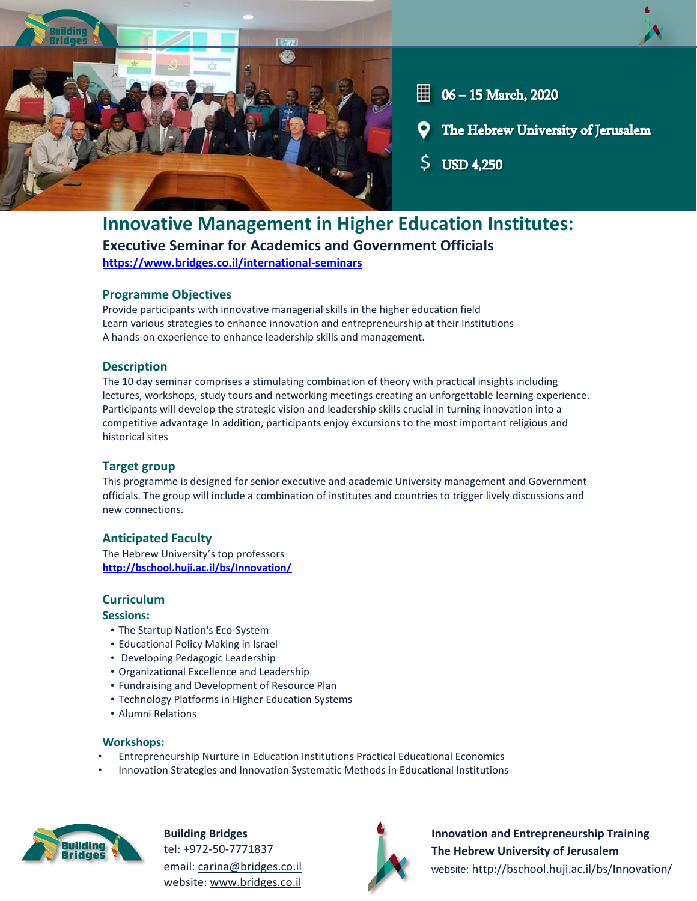

# **Innovative Management in Higher Education Institutes:**

**Executive Seminar for Academics and Government Officials**

**<https://www.bridges.co.il/international-seminars>**

## **Programme Objectives**

Provide participants with innovative managerial skills in the higher education field Learn various strategies to enhance innovation and entrepreneurship at their Institutions A hands-on experience to enhance leadership skills and management.

## **Description**

The 10 day seminar comprises a stimulating combination of theory with practical insights including lectures, workshops, study tours and networking meetings creating an unforgettable learning experience. Participants will develop the strategic vision and leadership skills crucial in turning innovation into a competitive advantage In addition, participants enjoy excursions to the most important religious and historical sites

## **Target group**

This programme is designed for senior executive and academic University management and Government officials. The group will include a combination of institutes and countries to trigger lively discussions and new connections.

# **Anticipated Faculty**

The Hebrew University's top professors **<http://bschool.huji.ac.il/bs/Innovation/>**

## **Curriculum**

## **Sessions:**

- The Startup Nation's Eco-System
- Educational Policy Making in Israel
- Developing Pedagogic Leadership
- Organizational Excellence and Leadership
- Fundraising and Development of Resource Plan
- Technology Platforms in Higher Education Systems
- Alumni Relations

#### **Workshops:**

- Entrepreneurship Nurture in Education Institutions Practical Educational Economics
- Innovation Strategies and Innovation Systematic Methods in Educational Institutions



**Building Bridges** tel: +972-50-7771837 email: [carina@bridges.co.il](mailto:carina@bridges.co.il) website[: www.bridges.co.il](http://www.bridges.co.il/)



**Innovation and Entrepreneurship Training The Hebrew University of Jerusalem** website: <http://bschool.huji.ac.il/bs/Innovation/>